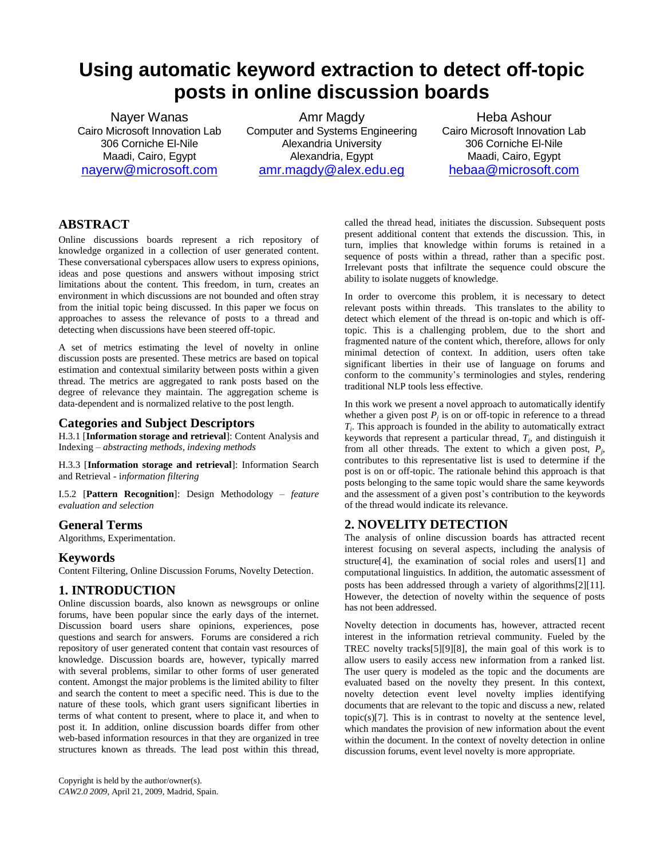# **Using automatic keyword extraction to detect off-topic posts in online discussion boards**

Nayer Wanas Cairo Microsoft Innovation Lab 306 Corniche El-Nile Maadi, Cairo, Egypt [nayerw@microsoft.com](mailto:nayerw@microsoft.com)

Amr Magdy Computer and Systems Engineering Alexandria University Alexandria, Egypt [amr.magdy@alex.edu.eg](mailto:amr.magdy@alex.edu.eg)

Heba Ashour Cairo Microsoft Innovation Lab 306 Corniche El-Nile Maadi, Cairo, Egypt [hebaa@microsoft.com](mailto:hebaa@microsoft.com)

# **ABSTRACT**

Online discussions boards represent a rich repository of knowledge organized in a collection of user generated content. These conversational cyberspaces allow users to express opinions, ideas and pose questions and answers without imposing strict limitations about the content. This freedom, in turn, creates an environment in which discussions are not bounded and often stray from the initial topic being discussed. In this paper we focus on approaches to assess the relevance of posts to a thread and detecting when discussions have been steered off-topic.

A set of metrics estimating the level of novelty in online discussion posts are presented. These metrics are based on topical estimation and contextual similarity between posts within a given thread. The metrics are aggregated to rank posts based on the degree of relevance they maintain. The aggregation scheme is data-dependent and is normalized relative to the post length.

# **Categories and Subject Descriptors**

H.3.1 [**Information storage and retrieval**]: Content Analysis and Indexing – *abstracting methods, indexing methods*

H.3.3 [**Information storage and retrieval**]: Information Search and Retrieval - i*nformation filtering*

I.5.2 [**Pattern Recognition**]: Design Methodology – *feature evaluation and selection*

# **General Terms**

Algorithms, Experimentation.

## **Keywords**

Content Filtering, Online Discussion Forums, Novelty Detection.

# **1. INTRODUCTION**

Online discussion boards, also known as newsgroups or online forums, have been popular since the early days of the internet. Discussion board users share opinions, experiences, pose questions and search for answers. Forums are considered a rich repository of user generated content that contain vast resources of knowledge. Discussion boards are, however, typically marred with several problems, similar to other forms of user generated content. Amongst the major problems is the limited ability to filter and search the content to meet a specific need. This is due to the nature of these tools, which grant users significant liberties in terms of what content to present, where to place it, and when to post it. In addition, online discussion boards differ from other web-based information resources in that they are organized in tree structures known as threads. The lead post within this thread,

called the thread head, initiates the discussion. Subsequent posts present additional content that extends the discussion. This, in turn, implies that knowledge within forums is retained in a sequence of posts within a thread, rather than a specific post. Irrelevant posts that infiltrate the sequence could obscure the ability to isolate nuggets of knowledge.

In order to overcome this problem, it is necessary to detect relevant posts within threads. This translates to the ability to detect which element of the thread is on-topic and which is offtopic. This is a challenging problem, due to the short and fragmented nature of the content which, therefore, allows for only minimal detection of context. In addition, users often take significant liberties in their use of language on forums and conform to the community's terminologies and styles, rendering traditional NLP tools less effective.

In this work we present a novel approach to automatically identify whether a given post  $P_j$  is on or off-topic in reference to a thread  $T_i$ . This approach is founded in the ability to automatically extract keywords that represent a particular thread, *T<sup>i</sup>* , and distinguish it from all other threads. The extent to which a given post,  $P_j$ , contributes to this representative list is used to determine if the post is on or off-topic. The rationale behind this approach is that posts belonging to the same topic would share the same keywords and the assessment of a given post's contribution to the keywords of the thread would indicate its relevance.

# **2. NOVELITY DETECTION**

The analysis of online discussion boards has attracted recent interest focusing on several aspects, including the analysis of structur[e\[4\],](#page-5-0) the examination of social roles and user[s\[1\]](#page-5-1) and computational linguistics. In addition, the automatic assessment of posts has been addressed through a variety of algorithm[s\[2\]\[11\].](#page-5-2) However, the detection of novelty within the sequence of posts has not been addressed.

Novelty detection in documents has, however, attracted recent interest in the information retrieval community. Fueled by the TREC novelty track[s\[5\]\[9\]](#page-5-3)[\[8\],](#page-5-4) the main goal of this work is to allow users to easily access new information from a ranked list. The user query is modeled as the topic and the documents are evaluated based on the novelty they present. In this context, novelty detection event level novelty implies identifying documents that are relevant to the topic and discuss a new, related topic(s[\)\[7\].](#page-5-5) This is in contrast to novelty at the sentence level, which mandates the provision of new information about the event within the document. In the context of novelty detection in online discussion forums, event level novelty is more appropriate.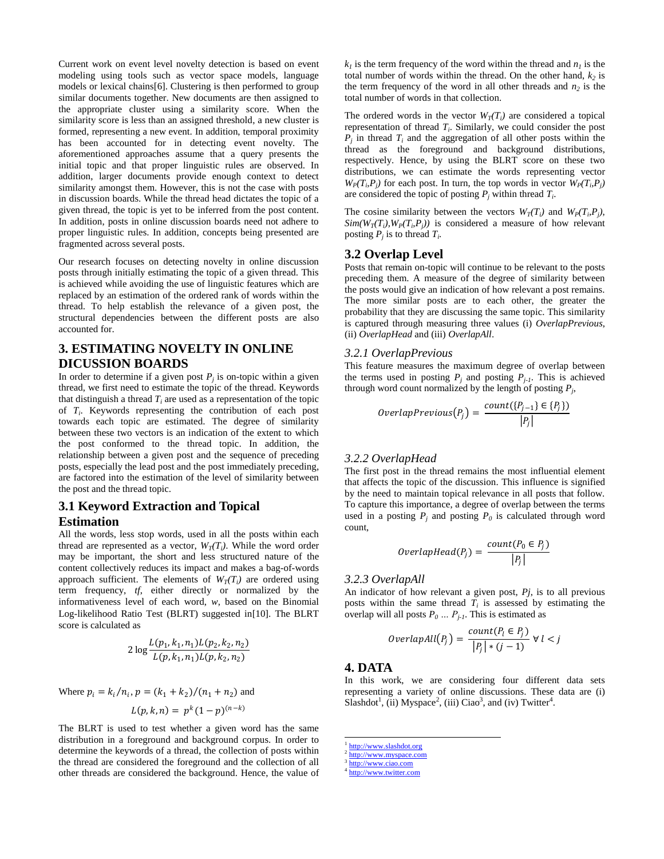Current work on event level novelty detection is based on event modeling using tools such as vector space models, language models or lexical chains[\[6\]](#page-5-5). Clustering is then performed to group similar documents together. New documents are then assigned to the appropriate cluster using a similarity score. When the similarity score is less than an assigned threshold, a new cluster is formed, representing a new event. In addition, temporal proximity has been accounted for in detecting event novelty. The aforementioned approaches assume that a query presents the initial topic and that proper linguistic rules are observed. In addition, larger documents provide enough context to detect similarity amongst them. However, this is not the case with posts in discussion boards. While the thread head dictates the topic of a given thread, the topic is yet to be inferred from the post content. In addition, posts in online discussion boards need not adhere to proper linguistic rules. In addition, concepts being presented are fragmented across several posts.

Our research focuses on detecting novelty in online discussion posts through initially estimating the topic of a given thread. This is achieved while avoiding the use of linguistic features which are replaced by an estimation of the ordered rank of words within the thread. To help establish the relevance of a given post, the structural dependencies between the different posts are also accounted for.

# **3. ESTIMATING NOVELTY IN ONLINE DICUSSION BOARDS**

In order to determine if a given post  $P_j$  is on-topic within a given thread, we first need to estimate the topic of the thread. Keywords that distinguish a thread  $T_i$  are used as a representation of the topic of *T<sup>i</sup>* . Keywords representing the contribution of each post towards each topic are estimated. The degree of similarity between these two vectors is an indication of the extent to which the post conformed to the thread topic. In addition, the relationship between a given post and the sequence of preceding posts, especially the lead post and the post immediately preceding, are factored into the estimation of the level of similarity between the post and the thread topic.

# **3.1 Keyword Extraction and Topical Estimation**

All the words, less stop words, used in all the posts within each thread are represented as a vector,  $W_T(T_i)$ . While the word order may be important, the short and less structured nature of the content collectively reduces its impact and makes a bag-of-words approach sufficient. The elements of  $W_T(T_i)$  are ordered using term frequency, *tf*, either directly or normalized by the informativeness level of each word, *w*, based on the Binomial Log-likelihood Ratio Test (BLRT) suggested i[n\[10\].](#page-5-6) The BLRT score is calculated as

$$
2\log \frac{L(p_1, k_1, n_1)L(p_2, k_2, n_2)}{L(p, k_1, n_1)L(p, k_2, n_2)}
$$

Where 
$$
p_i = k_i/n_i
$$
,  $p = (k_1 + k_2)/(n_1 + n_2)$  and  

$$
L(p, k, n) = p^k (1 - p)^{(n - k)}
$$

The BLRT is used to test whether a given word has the same distribution in a foreground and background corpus. In order to determine the keywords of a thread, the collection of posts within the thread are considered the foreground and the collection of all other threads are considered the background. Hence, the value of

 $k_l$  is the term frequency of the word within the thread and  $n_l$  is the total number of words within the thread. On the other hand,  $k_2$  is the term frequency of the word in all other threads and  $n_2$  is the total number of words in that collection.

The ordered words in the vector  $W_T(T_i)$  are considered a topical representation of thread *T<sup>i</sup>* . Similarly, we could consider the post  $P_j$  in thread  $T_i$  and the aggregation of all other posts within the thread as the foreground and background distributions, respectively. Hence, by using the BLRT score on these two distributions, we can estimate the words representing vector  $W_P(T_i, P_j)$  for each post. In turn, the top words in vector  $W_P(T_i, P_j)$ are considered the topic of posting  $P_j$  within thread  $T_i$ .

The cosine similarity between the vectors  $W_T(T_i)$  and  $W_P(T_i, P_j)$ ,  $Sim(W_T(T_i), W_P(T_i, P_j))$  is considered a measure of how relevant posting  $P_j$  is to thread  $T_i$ .

### **3.2 Overlap Level**

Posts that remain on-topic will continue to be relevant to the posts preceding them. A measure of the degree of similarity between the posts would give an indication of how relevant a post remains. The more similar posts are to each other, the greater the probability that they are discussing the same topic. This similarity is captured through measuring three values (i) *OverlapPrevious*, (ii) *OverlapHead* and (iii) *OverlapAll*.

#### *3.2.1 OverlapPrevious*

This feature measures the maximum degree of overlap between the terms used in posting  $P_j$  and posting  $P_{j-1}$ . This is achieved through word count normalized by the length of posting  $P_j$ ,

$$
OverlapPrevious(P_j) = \frac{count(\lbrace P_{j-1} \rbrace \in \lbrace P_j \rbrace)}{|P_j|}
$$

## *3.2.2 OverlapHead*

The first post in the thread remains the most influential element that affects the topic of the discussion. This influence is signified by the need to maintain topical relevance in all posts that follow. To capture this importance, a degree of overlap between the terms used in a posting  $P_j$  and posting  $P_0$  is calculated through word count,

$$
OverlapHead(P_j) = \frac{count(P_0 \in P_j)}{|P_j|}
$$

## *3.2.3 OverlapAll*

An indicator of how relevant a given post, *Pj*, is to all previous posts within the same thread  $T_i$  is assessed by estimating the overlap will all posts  $P_0 \ldots P_{j-l}$ . This is estimated as

$$
Overall(p_j) = \frac{count(P_l \in P_j)}{|P_j| * (j-1)} \forall l < j
$$

#### **4. DATA**

In this work, we are considering four different data sets representing a variety of online discussions. These data are (i) Slashdot<sup>1</sup>, (ii) Myspace<sup>2</sup>, (iii) Ciao<sup>3</sup>, and (iv) Twitter<sup>4</sup>.

<sup>&</sup>lt;sup>1</sup> [http://www.slashdot.org](http://www.slashdot.org/)

 $\frac{2 \text{ http://www.myspace.com}}{3 \text{ http://www.myspace.com}}$  $\frac{2 \text{ http://www.myspace.com}}{3 \text{ http://www.myspace.com}}$  $\frac{2 \text{ http://www.myspace.com}}{3 \text{ http://www.myspace.com}}$ 

[http://www.ciao.com](http://www.ciao.com/)

<sup>&</sup>lt;sup>4</sup> [http://www.twitter.com](http://www.twitter.com/)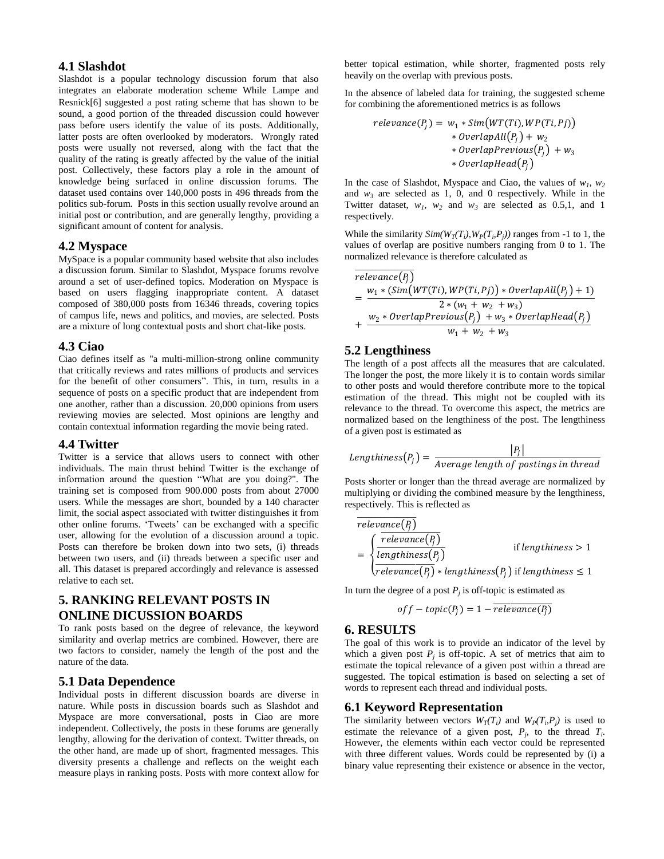### **4.1 Slashdot**

Slashdot is a popular technology discussion forum that also integrates an elaborate moderation scheme While Lampe and Resnic[k\[6\]](#page-5-7) suggested a post rating scheme that has shown to be sound, a good portion of the threaded discussion could however pass before users identify the value of its posts. Additionally, latter posts are often overlooked by moderators. Wrongly rated posts were usually not reversed, along with the fact that the quality of the rating is greatly affected by the value of the initial post. Collectively, these factors play a role in the amount of knowledge being surfaced in online discussion forums. The dataset used contains over 140,000 posts in 496 threads from the politics sub-forum. Posts in this section usually revolve around an initial post or contribution, and are generally lengthy, providing a significant amount of content for analysis.

### **4.2 Myspace**

MySpace is a popular community based website that also includes a discussion forum. Similar to Slashdot, Myspace forums revolve around a set of user-defined topics. Moderation on Myspace is based on users flagging inappropriate content. A dataset composed of 380,000 posts from 16346 threads, covering topics of campus life, news and politics, and movies, are selected. Posts are a mixture of long contextual posts and short chat-like posts.

#### **4.3 Ciao**

Ciao defines itself as "a multi-million-strong online community that critically reviews and rates millions of products and services for the benefit of other consumers". This, in turn, results in a sequence of posts on a specific product that are independent from one another, rather than a discussion. 20,000 opinions from users reviewing movies are selected. Most opinions are lengthy and contain contextual information regarding the movie being rated.

#### **4.4 Twitter**

Twitter is a service that allows users to connect with other individuals. The main thrust behind Twitter is the exchange of information around the question "What are you doing?". The training set is composed from 900.000 posts from about 27000 users. While the messages are short, bounded by a 140 character limit, the social aspect associated with twitter distinguishes it from other online forums. "Tweets" can be exchanged with a specific user, allowing for the evolution of a discussion around a topic. Posts can therefore be broken down into two sets, (i) threads between two users, and (ii) threads between a specific user and all. This dataset is prepared accordingly and relevance is assessed relative to each set.

# **5. RANKING RELEVANT POSTS IN ONLINE DICUSSION BOARDS**

To rank posts based on the degree of relevance, the keyword similarity and overlap metrics are combined. However, there are two factors to consider, namely the length of the post and the nature of the data.

## **5.1 Data Dependence**

Individual posts in different discussion boards are diverse in nature. While posts in discussion boards such as Slashdot and Myspace are more conversational, posts in Ciao are more independent. Collectively, the posts in these forums are generally lengthy, allowing for the derivation of context. Twitter threads, on the other hand, are made up of short, fragmented messages. This diversity presents a challenge and reflects on the weight each measure plays in ranking posts. Posts with more context allow for

better topical estimation, while shorter, fragmented posts rely heavily on the overlap with previous posts.

In the absence of labeled data for training, the suggested scheme for combining the aforementioned metrics is as follows

$$
relevance(P_j) = w_1 * Sim(WT(Ti), WP(Ti, Pj))
$$
  
\n
$$
* OverlapAll(P_j) + w_2
$$
  
\n
$$
* OverlapPrevious(P_j) + w_3
$$
  
\n
$$
* OverlapHead(P_j)
$$

In the case of Slashdot, Myspace and Ciao, the values of  $w_1$ ,  $w_2$ and  $w_3$  are selected as 1, 0, and 0 respectively. While in the Twitter dataset,  $w_1$ ,  $w_2$  and  $w_3$  are selected as 0.5,1, and 1 respectively.

While the similarity  $Sim(W_T(T_i), W_P(T_i, P_j))$  ranges from -1 to 1, the values of overlap are positive numbers ranging from 0 to 1. The normalized relevance is therefore calculated as

$$
\begin{aligned}\n\overline{relevant}(P_j) \\
&= \frac{w_1 * (Sim(WT(Ti), WP(Ti, Pj)) * OverlapAll(P_j) + 1)}{2 * (w_1 + w_2 + w_3)} \\
&+ \frac{w_2 * OverlapPrevious(P_j) + w_3 * OverlapHead(P_j)}{w_1 + w_2 + w_3}\n\end{aligned}
$$

## **5.2 Lengthiness**

The length of a post affects all the measures that are calculated. The longer the post, the more likely it is to contain words similar to other posts and would therefore contribute more to the topical estimation of the thread. This might not be coupled with its relevance to the thread. To overcome this aspect, the metrics are normalized based on the lengthiness of the post. The lengthiness of a given post is estimated as

Lengthiness
$$
(P_j)
$$
 =  $\frac{|P_j|}{Average length of positions in thread}$ 

Posts shorter or longer than the thread average are normalized by multiplying or dividing the combined measure by the lengthiness, respectively. This is reflected as

$$
\begin{aligned}\n\overline{relevance(P_j)}\\ \n&= \begin{cases}\n\frac{relevance(P_j)}{lengthiness(P_j)} & \text{if lengthiness} > 1 \\
\frac{relevance(P_j)}{relevance(P_j)} * lengthiness(P_j) & \text{if lengthiness} \le 1\n\end{cases}\n\end{aligned}
$$

In turn the degree of a post  $P_j$  is off-topic is estimated as

$$
off-topic(P_j) = 1 - \overline{relevance(P_j)}
$$

#### **6. RESULTS**

The goal of this work is to provide an indicator of the level by which a given post  $P_j$  is off-topic. A set of metrics that aim to estimate the topical relevance of a given post within a thread are suggested. The topical estimation is based on selecting a set of words to represent each thread and individual posts.

#### **6.1 Keyword Representation**

The similarity between vectors  $W_T(T_i)$  and  $W_P(T_i, P_j)$  is used to estimate the relevance of a given post,  $P_j$ , to the thread  $T_i$ . However, the elements within each vector could be represented with three different values. Words could be represented by (i) a binary value representing their existence or absence in the vector,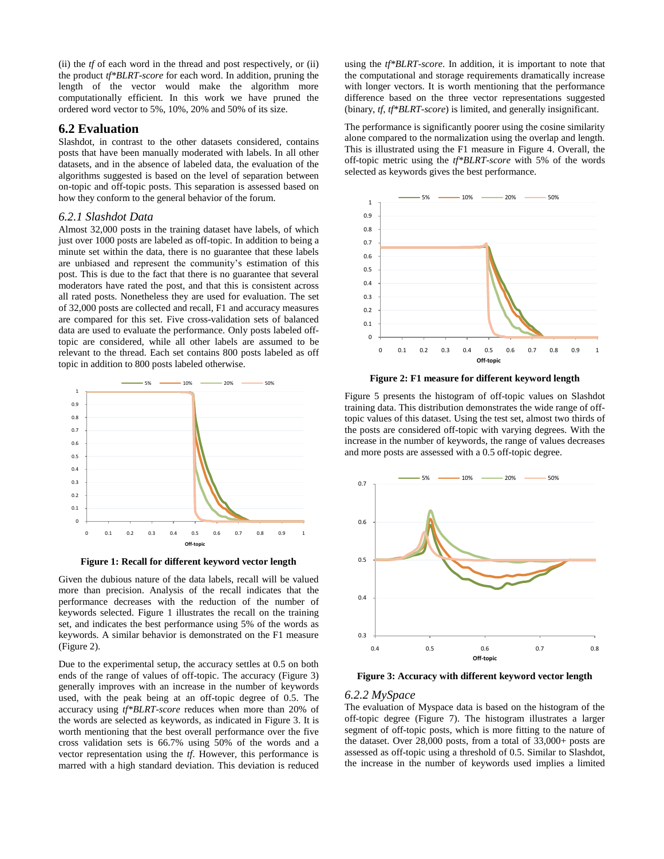(ii) the *tf* of each word in the thread and post respectively, or (ii) the product *tf\*BLRT-score* for each word. In addition, pruning the length of the vector would make the algorithm more computationally efficient. In this work we have pruned the ordered word vector to 5%, 10%, 20% and 50% of its size.

#### **6.2 Evaluation**

Slashdot, in contrast to the other datasets considered, contains posts that have been manually moderated with labels. In all other datasets, and in the absence of labeled data, the evaluation of the algorithms suggested is based on the level of separation between on-topic and off-topic posts. This separation is assessed based on how they conform to the general behavior of the forum.

#### *6.2.1 Slashdot Data*

Almost 32,000 posts in the training dataset have labels, of which just over 1000 posts are labeled as off-topic. In addition to being a minute set within the data, there is no guarantee that these labels are unbiased and represent the community's estimation of this post. This is due to the fact that there is no guarantee that several moderators have rated the post, and that this is consistent across all rated posts. Nonetheless they are used for evaluation. The set of 32,000 posts are collected and recall, F1 and accuracy measures are compared for this set. Five cross-validation sets of balanced data are used to evaluate the performance. Only posts labeled offtopic are considered, while all other labels are assumed to be relevant to the thread. Each set contains 800 posts labeled as off topic in addition to 800 posts labeled otherwise.



**Figure 1: Recall for different keyword vector length**

<span id="page-3-0"></span>Given the dubious nature of the data labels, recall will be valued more than precision. Analysis of the recall indicates that the performance decreases with the reduction of the number of keywords selected. [Figure 1](#page-3-0) illustrates the recall on the training set, and indicates the best performance using 5% of the words as keywords. A similar behavior is demonstrated on the F1 measure [\(Figure 2\)](#page-3-1).

Due to the experimental setup, the accuracy settles at 0.5 on both ends of the range of values of off-topic. The accuracy [\(Figure 3\)](#page-3-2) generally improves with an increase in the number of keywords used, with the peak being at an off-topic degree of 0.5. The accuracy using *tf\*BLRT-score* reduces when more than 20% of the words are selected as keywords, as indicated in [Figure 3.](#page-3-2) It is worth mentioning that the best overall performance over the five cross validation sets is 66.7% using 50% of the words and a vector representation using the *tf*. However, this performance is marred with a high standard deviation. This deviation is reduced using the *tf\*BLRT-score*. In addition, it is important to note that the computational and storage requirements dramatically increase with longer vectors. It is worth mentioning that the performance difference based on the three vector representations suggested (binary, *tf*, *tf\*BLRT-score*) is limited, and generally insignificant.

The performance is significantly poorer using the cosine similarity alone compared to the normalization using the overlap and length. This is illustrated using the F1 measure in [Figure 4.](#page-4-0) Overall, the off-topic metric using the *tf\*BLRT-score* with 5% of the words selected as keywords gives the best performance.



**Figure 2: F1 measure for different keyword length**

<span id="page-3-1"></span>[Figure 5](#page-4-1) presents the histogram of off-topic values on Slashdot training data. This distribution demonstrates the wide range of offtopic values of this dataset. Using the test set, almost two thirds of the posts are considered off-topic with varying degrees. With the increase in the number of keywords, the range of values decreases and more posts are assessed with a 0.5 off-topic degree.



<span id="page-3-2"></span>**Figure 3: Accuracy with different keyword vector length**

#### *6.2.2 MySpace*

The evaluation of Myspace data is based on the histogram of the off-topic degree [\(Figure 7\)](#page-4-2). The histogram illustrates a larger segment of off-topic posts, which is more fitting to the nature of the dataset. Over 28,000 posts, from a total of 33,000+ posts are assessed as off-topic using a threshold of 0.5. Similar to Slashdot, the increase in the number of keywords used implies a limited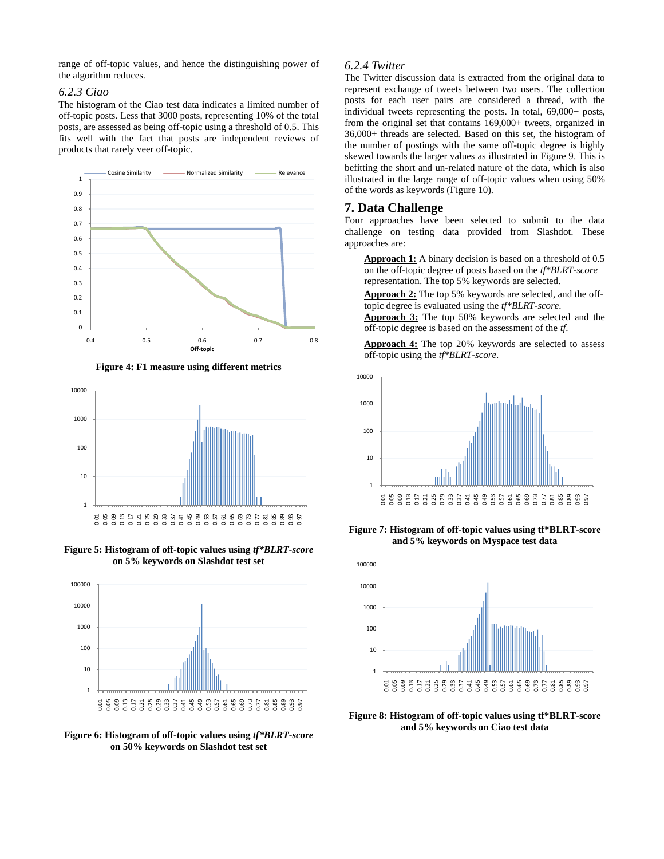range of off-topic values, and hence the distinguishing power of the algorithm reduces.

#### *6.2.3 Ciao*

The histogram of the Ciao test data indicates a limited number of off-topic posts. Less that 3000 posts, representing 10% of the total posts, are assessed as being off-topic using a threshold of 0.5. This fits well with the fact that posts are independent reviews of products that rarely veer off-topic.



<span id="page-4-0"></span>

**Figure 4: F1 measure using different metrics**

<span id="page-4-1"></span>**Figure 5: Histogram of off-topic values using** *tf\*BLRT-score* **on 5% keywords on Slashdot test set**



**Figure 6: Histogram of off-topic values using** *tf\*BLRT-score* **on 50% keywords on Slashdot test set**

## *6.2.4 Twitter*

The Twitter discussion data is extracted from the original data to represent exchange of tweets between two users. The collection posts for each user pairs are considered a thread, with the individual tweets representing the posts. In total, 69,000+ posts, from the original set that contains 169,000+ tweets, organized in 36,000+ threads are selected. Based on this set, the histogram of the number of postings with the same off-topic degree is highly skewed towards the larger values as illustrated i[n Figure 9.](#page-5-8) This is befitting the short and un-related nature of the data, which is also illustrated in the large range of off-topic values when using 50% of the words as keywords [\(Figure 10\)](#page-5-9).

## **7. Data Challenge**

Four approaches have been selected to submit to the data challenge on testing data provided from Slashdot. These approaches are:

**Approach 1:** A binary decision is based on a threshold of 0.5 on the off-topic degree of posts based on the *tf\*BLRT-score* representation. The top 5% keywords are selected.

**Approach 2:** The top 5% keywords are selected, and the offtopic degree is evaluated using the *tf\*BLRT-score*.

**Approach 3:** The top 50% keywords are selected and the off-topic degree is based on the assessment of the *tf*.

**Approach 4:** The top 20% keywords are selected to assess off-topic using the *tf\*BLRT-score*.



<span id="page-4-2"></span>**Figure 7: Histogram of off-topic values using tf\*BLRT-score and 5% keywords on Myspace test data**



**Figure 8: Histogram of off-topic values using tf\*BLRT-score and 5% keywords on Ciao test data**